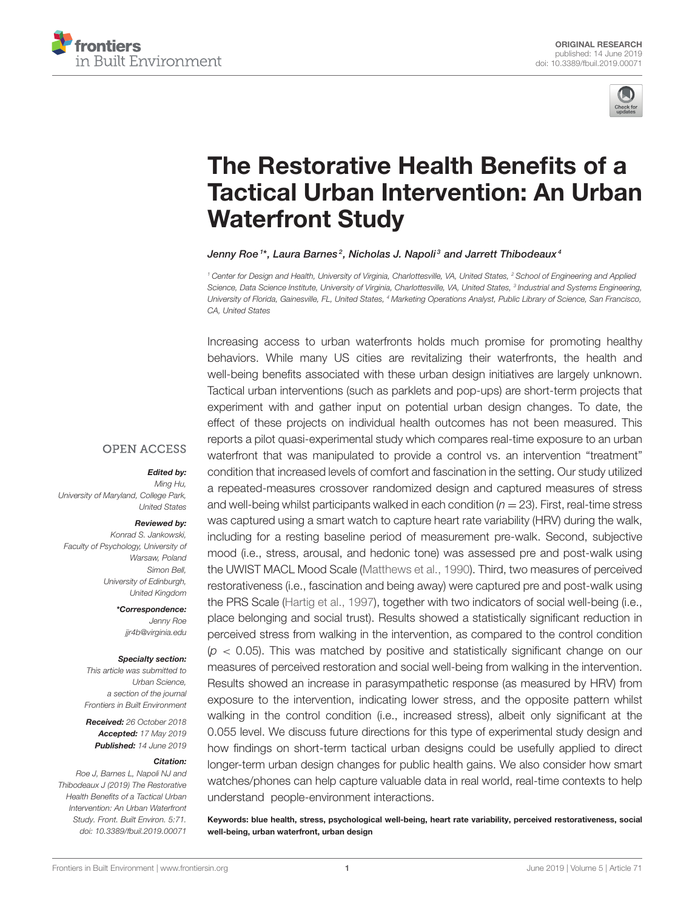



# The Restorative Health Benefits of a [Tactical Urban Intervention: An Urban](https://www.frontiersin.org/articles/10.3389/fbuil.2019.00071/full) Waterfront Study

#### [Jenny Roe](http://loop.frontiersin.org/people/230432/overview) <sup>1</sup>\*, Laura Barnes<sup>2</sup>, [Nicholas J. Napoli](http://loop.frontiersin.org/people/724022/overview)<sup>3</sup> and Jarrett Thibodeaux<sup>4</sup>

*<sup>1</sup> Center for Design and Health, University of Virginia, Charlottesville, VA, United States, <sup>2</sup> School of Engineering and Applied Science, Data Science Institute, University of Virginia, Charlottesville, VA, United States, <sup>3</sup> Industrial and Systems Engineering, University of Florida, Gainesville, FL, United States, <sup>4</sup> Marketing Operations Analyst, Public Library of Science, San Francisco, CA, United States*

Increasing access to urban waterfronts holds much promise for promoting healthy behaviors. While many US cities are revitalizing their waterfronts, the health and well-being benefits associated with these urban design initiatives are largely unknown. Tactical urban interventions (such as parklets and pop-ups) are short-term projects that experiment with and gather input on potential urban design changes. To date, the effect of these projects on individual health outcomes has not been measured. This reports a pilot quasi-experimental study which compares real-time exposure to an urban waterfront that was manipulated to provide a control vs. an intervention "treatment" condition that increased levels of comfort and fascination in the setting. Our study utilized a repeated-measures crossover randomized design and captured measures of stress and well-being whilst participants walked in each condition (*n* = 23). First, real-time stress was captured using a smart watch to capture heart rate variability (HRV) during the walk, including for a resting baseline period of measurement pre-walk. Second, subjective mood (i.e., stress, arousal, and hedonic tone) was assessed pre and post-walk using the UWIST MACL Mood Scale [\(Matthews et al., 1990\)](#page-9-0). Third, two measures of perceived restorativeness (i.e., fascination and being away) were captured pre and post-walk using the PRS Scale [\(Hartig et al., 1997\)](#page-9-1), together with two indicators of social well-being (i.e., place belonging and social trust). Results showed a statistically significant reduction in perceived stress from walking in the intervention, as compared to the control condition (*p* < 0.05). This was matched by positive and statistically significant change on our measures of perceived restoration and social well-being from walking in the intervention. Results showed an increase in parasympathetic response (as measured by HRV) from exposure to the intervention, indicating lower stress, and the opposite pattern whilst walking in the control condition (i.e., increased stress), albeit only significant at the 0.055 level. We discuss future directions for this type of experimental study design and how findings on short-term tactical urban designs could be usefully applied to direct longer-term urban design changes for public health gains. We also consider how smart watches/phones can help capture valuable data in real world, real-time contexts to help understand people-environment interactions.

Keywords: blue health, stress, psychological well-being, heart rate variability, perceived restorativeness, social well-being, urban waterfront, urban design

### **OPEN ACCESS**

#### Edited by:

*Ming Hu, University of Maryland, College Park, United States*

#### Reviewed by:

*Konrad S. Jankowski, Faculty of Psychology, University of Warsaw, Poland Simon Bell, University of Edinburgh, United Kingdom*

> \*Correspondence: *Jenny Roe [jjr4b@virginia.edu](mailto:jjr4b@virginia.edu)*

#### Specialty section:

*This article was submitted to Urban Science, a section of the journal Frontiers in Built Environment*

Received: *26 October 2018* Accepted: *17 May 2019* Published: *14 June 2019*

#### Citation:

*Roe J, Barnes L, Napoli NJ and Thibodeaux J (2019) The Restorative Health Benefits of a Tactical Urban Intervention: An Urban Waterfront Study. Front. Built Environ. 5:71. doi: [10.3389/fbuil.2019.00071](https://doi.org/10.3389/fbuil.2019.00071)*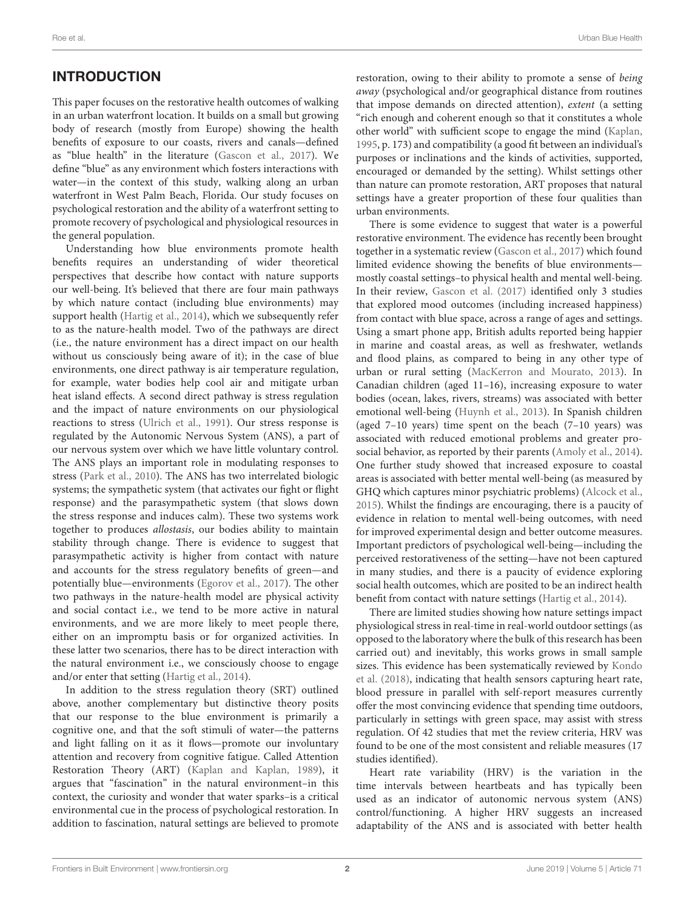# INTRODUCTION

This paper focuses on the restorative health outcomes of walking in an urban waterfront location. It builds on a small but growing body of research (mostly from Europe) showing the health benefits of exposure to our coasts, rivers and canals—defined as "blue health" in the literature [\(Gascon et al., 2017\)](#page-9-2). We define "blue" as any environment which fosters interactions with water—in the context of this study, walking along an urban waterfront in West Palm Beach, Florida. Our study focuses on psychological restoration and the ability of a waterfront setting to promote recovery of psychological and physiological resources in the general population.

Understanding how blue environments promote health benefits requires an understanding of wider theoretical perspectives that describe how contact with nature supports our well-being. It's believed that there are four main pathways by which nature contact (including blue environments) may support health [\(Hartig et al., 2014\)](#page-9-3), which we subsequently refer to as the nature-health model. Two of the pathways are direct (i.e., the nature environment has a direct impact on our health without us consciously being aware of it); in the case of blue environments, one direct pathway is air temperature regulation, for example, water bodies help cool air and mitigate urban heat island effects. A second direct pathway is stress regulation and the impact of nature environments on our physiological reactions to stress [\(Ulrich et al., 1991\)](#page-9-4). Our stress response is regulated by the Autonomic Nervous System (ANS), a part of our nervous system over which we have little voluntary control. The ANS plays an important role in modulating responses to stress [\(Park et al., 2010\)](#page-9-5). The ANS has two interrelated biologic systems; the sympathetic system (that activates our fight or flight response) and the parasympathetic system (that slows down the stress response and induces calm). These two systems work together to produces allostasis, our bodies ability to maintain stability through change. There is evidence to suggest that parasympathetic activity is higher from contact with nature and accounts for the stress regulatory benefits of green—and potentially blue—environments [\(Egorov et al., 2017\)](#page-9-6). The other two pathways in the nature-health model are physical activity and social contact i.e., we tend to be more active in natural environments, and we are more likely to meet people there, either on an impromptu basis or for organized activities. In these latter two scenarios, there has to be direct interaction with the natural environment i.e., we consciously choose to engage and/or enter that setting [\(Hartig et al., 2014\)](#page-9-3).

In addition to the stress regulation theory (SRT) outlined above, another complementary but distinctive theory posits that our response to the blue environment is primarily a cognitive one, and that the soft stimuli of water—the patterns and light falling on it as it flows—promote our involuntary attention and recovery from cognitive fatigue. Called Attention Restoration Theory (ART) [\(Kaplan and Kaplan, 1989\)](#page-9-7), it argues that "fascination" in the natural environment–in this context, the curiosity and wonder that water sparks–is a critical environmental cue in the process of psychological restoration. In addition to fascination, natural settings are believed to promote restoration, owing to their ability to promote a sense of being away (psychological and/or geographical distance from routines that impose demands on directed attention), extent (a setting "rich enough and coherent enough so that it constitutes a whole other world" with sufficient scope to engage the mind [\(Kaplan,](#page-9-8) [1995,](#page-9-8) p. 173) and compatibility (a good fit between an individual's purposes or inclinations and the kinds of activities, supported, encouraged or demanded by the setting). Whilst settings other than nature can promote restoration, ART proposes that natural settings have a greater proportion of these four qualities than urban environments.

There is some evidence to suggest that water is a powerful restorative environment. The evidence has recently been brought together in a systematic review [\(Gascon et al., 2017\)](#page-9-2) which found limited evidence showing the benefits of blue environments mostly coastal settings–to physical health and mental well-being. In their review, [Gascon et al. \(2017\)](#page-9-2) identified only 3 studies that explored mood outcomes (including increased happiness) from contact with blue space, across a range of ages and settings. Using a smart phone app, British adults reported being happier in marine and coastal areas, as well as freshwater, wetlands and flood plains, as compared to being in any other type of urban or rural setting [\(MacKerron and Mourato, 2013\)](#page-9-9). In Canadian children (aged 11–16), increasing exposure to water bodies (ocean, lakes, rivers, streams) was associated with better emotional well-being [\(Huynh et al., 2013\)](#page-9-10). In Spanish children (aged 7–10 years) time spent on the beach (7–10 years) was associated with reduced emotional problems and greater prosocial behavior, as reported by their parents [\(Amoly et al., 2014\)](#page-8-0). One further study showed that increased exposure to coastal areas is associated with better mental well-being (as measured by GHQ which captures minor psychiatric problems) [\(Alcock et al.,](#page-8-1) [2015\)](#page-8-1). Whilst the findings are encouraging, there is a paucity of evidence in relation to mental well-being outcomes, with need for improved experimental design and better outcome measures. Important predictors of psychological well-being—including the perceived restorativeness of the setting—have not been captured in many studies, and there is a paucity of evidence exploring social health outcomes, which are posited to be an indirect health benefit from contact with nature settings [\(Hartig et al., 2014\)](#page-9-3).

There are limited studies showing how nature settings impact physiological stress in real-time in real-world outdoor settings (as opposed to the laboratory where the bulk of this research has been carried out) and inevitably, this works grows in small sample sizes. This evidence has been systematically reviewed by Kondo et al. [\(2018\)](#page-9-11), indicating that health sensors capturing heart rate, blood pressure in parallel with self-report measures currently offer the most convincing evidence that spending time outdoors, particularly in settings with green space, may assist with stress regulation. Of 42 studies that met the review criteria, HRV was found to be one of the most consistent and reliable measures (17 studies identified).

Heart rate variability (HRV) is the variation in the time intervals between heartbeats and has typically been used as an indicator of autonomic nervous system (ANS) control/functioning. A higher HRV suggests an increased adaptability of the ANS and is associated with better health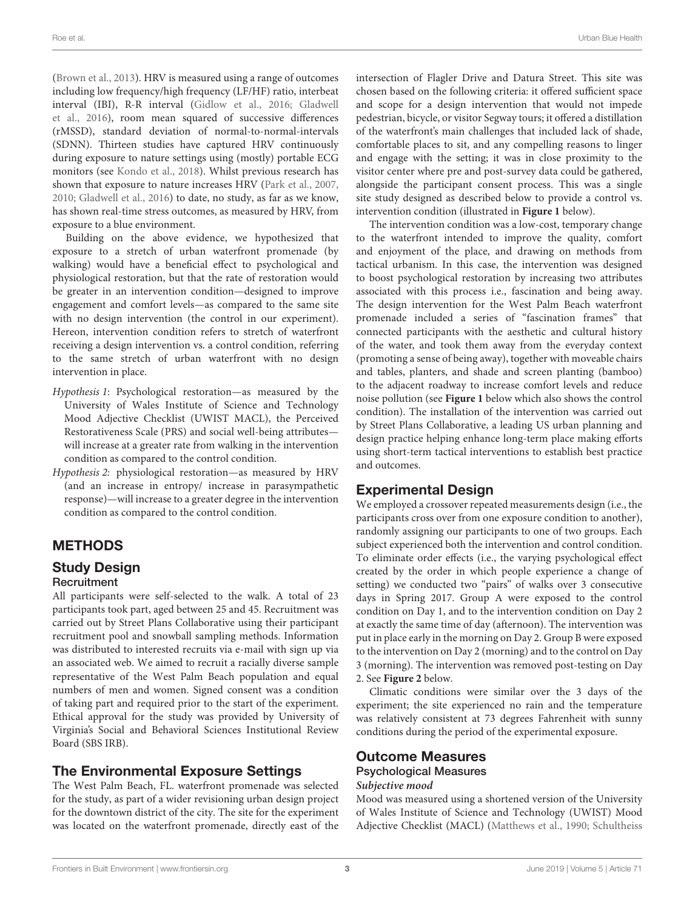[\(Brown et al., 2013\)](#page-9-12). HRV is measured using a range of outcomes including low frequency/high frequency (LF/HF) ratio, interbeat interval (IBI), R-R interval [\(Gidlow et al., 2016;](#page-9-13) Gladwell et al., [2016\)](#page-9-14), room mean squared of successive differences (rMSSD), standard deviation of normal-to-normal-intervals (SDNN). Thirteen studies have captured HRV continuously during exposure to nature settings using (mostly) portable ECG monitors (see [Kondo et al., 2018\)](#page-9-11). Whilst previous research has shown that exposure to nature increases HRV [\(Park et al., 2007,](#page-9-15) [2010;](#page-9-5) [Gladwell et al., 2016\)](#page-9-14) to date, no study, as far as we know, has shown real-time stress outcomes, as measured by HRV, from exposure to a blue environment.

Building on the above evidence, we hypothesized that exposure to a stretch of urban waterfront promenade (by walking) would have a beneficial effect to psychological and physiological restoration, but that the rate of restoration would be greater in an intervention condition—designed to improve engagement and comfort levels—as compared to the same site with no design intervention (the control in our experiment). Hereon, intervention condition refers to stretch of waterfront receiving a design intervention vs. a control condition, referring to the same stretch of urban waterfront with no design intervention in place.

- Hypothesis 1: Psychological restoration—as measured by the University of Wales Institute of Science and Technology Mood Adjective Checklist (UWIST MACL), the Perceived Restorativeness Scale (PRS) and social well-being attributes will increase at a greater rate from walking in the intervention condition as compared to the control condition.
- Hypothesis 2: physiological restoration—as measured by HRV (and an increase in entropy/ increase in parasympathetic response)—will increase to a greater degree in the intervention condition as compared to the control condition.

# METHODS

# Study Design

### **Recruitment**

All participants were self-selected to the walk. A total of 23 participants took part, aged between 25 and 45. Recruitment was carried out by Street Plans Collaborative using their participant recruitment pool and snowball sampling methods. Information was distributed to interested recruits via e-mail with sign up via an associated web. We aimed to recruit a racially diverse sample representative of the West Palm Beach population and equal numbers of men and women. Signed consent was a condition of taking part and required prior to the start of the experiment. Ethical approval for the study was provided by University of Virginia's Social and Behavioral Sciences Institutional Review Board (SBS IRB).

### The Environmental Exposure Settings

The West Palm Beach, FL. waterfront promenade was selected for the study, as part of a wider revisioning urban design project for the downtown district of the city. The site for the experiment was located on the waterfront promenade, directly east of the intersection of Flagler Drive and Datura Street. This site was chosen based on the following criteria: it offered sufficient space and scope for a design intervention that would not impede pedestrian, bicycle, or visitor Segway tours; it offered a distillation of the waterfront's main challenges that included lack of shade, comfortable places to sit, and any compelling reasons to linger and engage with the setting; it was in close proximity to the visitor center where pre and post-survey data could be gathered, alongside the participant consent process. This was a single site study designed as described below to provide a control vs. intervention condition (illustrated in **[Figure 1](#page-3-0)** below).

The intervention condition was a low-cost, temporary change to the waterfront intended to improve the quality, comfort and enjoyment of the place, and drawing on methods from tactical urbanism. In this case, the intervention was designed to boost psychological restoration by increasing two attributes associated with this process i.e., fascination and being away. The design intervention for the West Palm Beach waterfront promenade included a series of "fascination frames" that connected participants with the aesthetic and cultural history of the water, and took them away from the everyday context (promoting a sense of being away), together with moveable chairs and tables, planters, and shade and screen planting (bamboo) to the adjacent roadway to increase comfort levels and reduce noise pollution (see **[Figure 1](#page-3-0)** below which also shows the control condition). The installation of the intervention was carried out by Street Plans Collaborative, a leading US urban planning and design practice helping enhance long-term place making efforts using short-term tactical interventions to establish best practice and outcomes.

### Experimental Design

We employed a crossover repeated measurements design (i.e., the participants cross over from one exposure condition to another), randomly assigning our participants to one of two groups. Each subject experienced both the intervention and control condition. To eliminate order effects (i.e., the varying psychological effect created by the order in which people experience a change of setting) we conducted two "pairs" of walks over 3 consecutive days in Spring 2017. Group A were exposed to the control condition on Day 1, and to the intervention condition on Day 2 at exactly the same time of day (afternoon). The intervention was put in place early in the morning on Day 2. Group B were exposed to the intervention on Day 2 (morning) and to the control on Day 3 (morning). The intervention was removed post-testing on Day 2. See **[Figure 2](#page-3-1)** below.

Climatic conditions were similar over the 3 days of the experiment; the site experienced no rain and the temperature was relatively consistent at 73 degrees Fahrenheit with sunny conditions during the period of the experimental exposure.

#### Outcome Measures Psychological Measures

# **Subjective mood**

Mood was measured using a shortened version of the University of Wales Institute of Science and Technology (UWIST) Mood Adjective Checklist (MACL) [\(Matthews et al., 1990;](#page-9-0) Schultheiss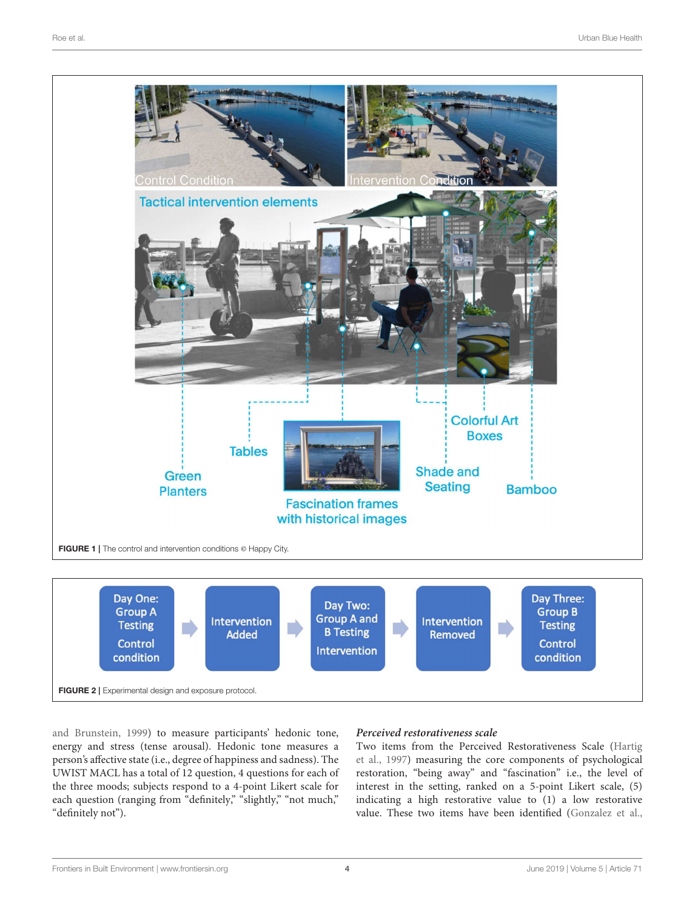

<span id="page-3-0"></span>

<span id="page-3-1"></span>and Brunstein, [1999\)](#page-9-16) to measure participants' hedonic tone, energy and stress (tense arousal). Hedonic tone measures a person's affective state (i.e., degree of happiness and sadness). The UWIST MACL has a total of 12 question, 4 questions for each of the three moods; subjects respond to a 4-point Likert scale for each question (ranging from "definitely," "slightly," "not much," "definitely not").

### **Perceived restorativeness scale**

Two items from the Perceived Restorativeness Scale (Hartig et al., [1997\)](#page-9-1) measuring the core components of psychological restoration, "being away" and "fascination" i.e., the level of interest in the setting, ranked on a 5-point Likert scale, (5) indicating a high restorative value to (1) a low restorative value. These two items have been identified [\(Gonzalez et al.,](#page-9-17)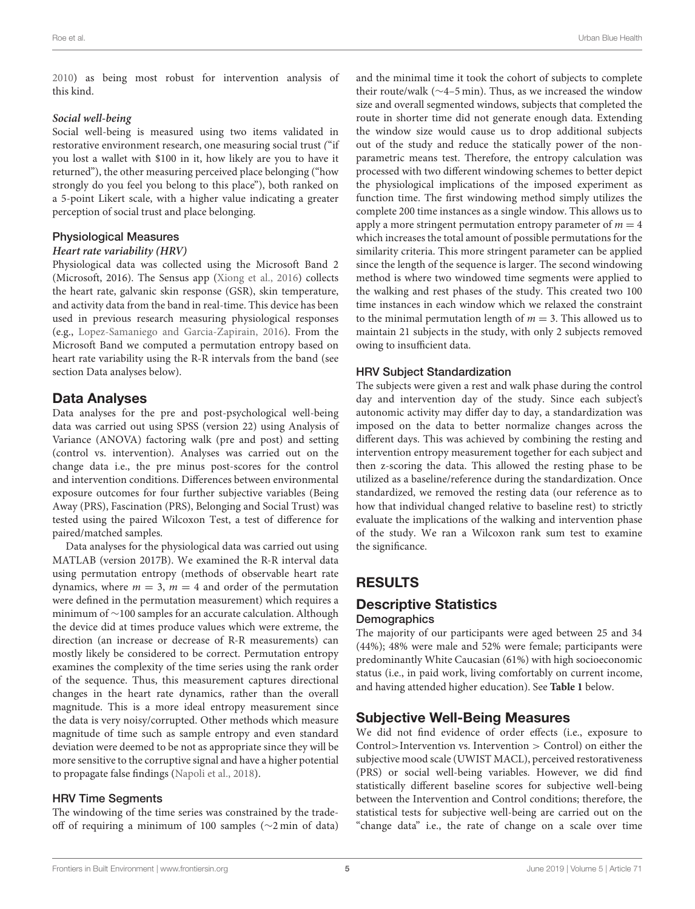[2010\)](#page-9-17) as being most robust for intervention analysis of this kind.

#### **Social well-being**

Social well-being is measured using two items validated in restorative environment research, one measuring social trust ("if you lost a wallet with \$100 in it, how likely are you to have it returned"), the other measuring perceived place belonging ("how strongly do you feel you belong to this place"), both ranked on a 5-point Likert scale, with a higher value indicating a greater perception of social trust and place belonging.

#### Physiological Measures

#### **Heart rate variability (HRV)**

Physiological data was collected using the Microsoft Band 2 (Microsoft, 2016). The Sensus app [\(Xiong et al., 2016\)](#page-9-18) collects the heart rate, galvanic skin response (GSR), skin temperature, and activity data from the band in real-time. This device has been used in previous research measuring physiological responses (e.g., [Lopez-Samaniego and Garcia-Zapirain, 2016\)](#page-9-19). From the Microsoft Band we computed a permutation entropy based on heart rate variability using the R-R intervals from the band (see section Data analyses below).

### Data Analyses

Data analyses for the pre and post-psychological well-being data was carried out using SPSS (version 22) using Analysis of Variance (ANOVA) factoring walk (pre and post) and setting (control vs. intervention). Analyses was carried out on the change data i.e., the pre minus post-scores for the control and intervention conditions. Differences between environmental exposure outcomes for four further subjective variables (Being Away (PRS), Fascination (PRS), Belonging and Social Trust) was tested using the paired Wilcoxon Test, a test of difference for paired/matched samples.

Data analyses for the physiological data was carried out using MATLAB (version 2017B). We examined the R-R interval data using permutation entropy (methods of observable heart rate dynamics, where  $m = 3$ ,  $m = 4$  and order of the permutation were defined in the permutation measurement) which requires a minimum of ∼100 samples for an accurate calculation. Although the device did at times produce values which were extreme, the direction (an increase or decrease of R-R measurements) can mostly likely be considered to be correct. Permutation entropy examines the complexity of the time series using the rank order of the sequence. Thus, this measurement captures directional changes in the heart rate dynamics, rather than the overall magnitude. This is a more ideal entropy measurement since the data is very noisy/corrupted. Other methods which measure magnitude of time such as sample entropy and even standard deviation were deemed to be not as appropriate since they will be more sensitive to the corruptive signal and have a higher potential to propagate false findings [\(Napoli et al., 2018\)](#page-9-20).

### HRV Time Segments

The windowing of the time series was constrained by the tradeoff of requiring a minimum of 100 samples (∼2 min of data) and the minimal time it took the cohort of subjects to complete their route/walk (∼4–5 min). Thus, as we increased the window size and overall segmented windows, subjects that completed the route in shorter time did not generate enough data. Extending the window size would cause us to drop additional subjects out of the study and reduce the statically power of the nonparametric means test. Therefore, the entropy calculation was processed with two different windowing schemes to better depict the physiological implications of the imposed experiment as function time. The first windowing method simply utilizes the complete 200 time instances as a single window. This allows us to apply a more stringent permutation entropy parameter of  $m = 4$ which increases the total amount of possible permutations for the similarity criteria. This more stringent parameter can be applied since the length of the sequence is larger. The second windowing method is where two windowed time segments were applied to the walking and rest phases of the study. This created two 100 time instances in each window which we relaxed the constraint to the minimal permutation length of  $m = 3$ . This allowed us to maintain 21 subjects in the study, with only 2 subjects removed owing to insufficient data.

### HRV Subject Standardization

The subjects were given a rest and walk phase during the control day and intervention day of the study. Since each subject's autonomic activity may differ day to day, a standardization was imposed on the data to better normalize changes across the different days. This was achieved by combining the resting and intervention entropy measurement together for each subject and then z-scoring the data. This allowed the resting phase to be utilized as a baseline/reference during the standardization. Once standardized, we removed the resting data (our reference as to how that individual changed relative to baseline rest) to strictly evaluate the implications of the walking and intervention phase of the study. We ran a Wilcoxon rank sum test to examine the significance.

# RESULTS

### Descriptive Statistics **Demographics**

The majority of our participants were aged between 25 and 34 (44%); 48% were male and 52% were female; participants were predominantly White Caucasian (61%) with high socioeconomic status (i.e., in paid work, living comfortably on current income, and having attended higher education). See **[Table 1](#page-5-0)** below.

### Subjective Well-Being Measures

We did not find evidence of order effects (i.e., exposure to Control>Intervention vs. Intervention > Control) on either the subjective mood scale (UWIST MACL), perceived restorativeness (PRS) or social well-being variables. However, we did find statistically different baseline scores for subjective well-being between the Intervention and Control conditions; therefore, the statistical tests for subjective well-being are carried out on the "change data" i.e., the rate of change on a scale over time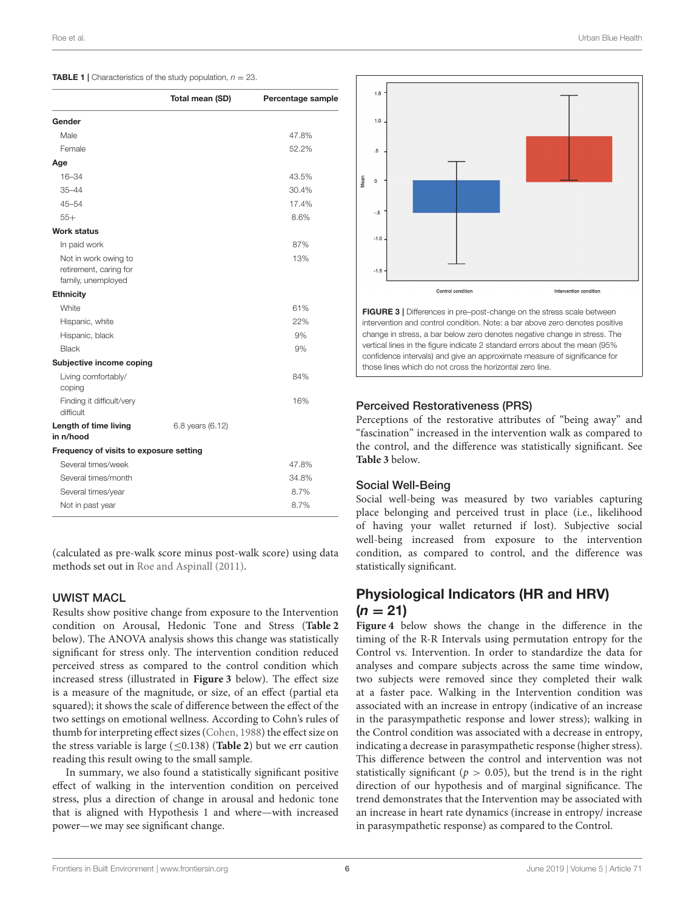<span id="page-5-0"></span>

|  | <b>TABLE 1</b> Characteristics of the study population, $n = 23$ . |  |  |  |  |
|--|--------------------------------------------------------------------|--|--|--|--|
|--|--------------------------------------------------------------------|--|--|--|--|

|                                                                      | Total mean (SD)  | Percentage sample |
|----------------------------------------------------------------------|------------------|-------------------|
| Gender                                                               |                  |                   |
| Male                                                                 |                  | 47.8%             |
| Female                                                               |                  | 52.2%             |
| Age                                                                  |                  |                   |
| $16 - 34$                                                            |                  | 43.5%             |
| $35 - 44$                                                            |                  | 30.4%             |
| $45 - 54$                                                            |                  | 17.4%             |
| $55+$                                                                |                  | 8.6%              |
| <b>Work status</b>                                                   |                  |                   |
| In paid work                                                         |                  | 87%               |
| Not in work owing to<br>retirement, caring for<br>family, unemployed |                  | 13%               |
| <b>Ethnicity</b>                                                     |                  |                   |
| <b>White</b>                                                         |                  | 61%               |
| Hispanic, white                                                      |                  | 22%               |
| Hispanic, black                                                      |                  | 9%                |
| Black                                                                |                  | 9%                |
| Subjective income coping                                             |                  |                   |
| Living comfortably/<br>coping                                        |                  | 84%               |
| Finding it difficult/very<br>difficult                               |                  | 16%               |
| Length of time living<br>in n/hood                                   | 6.8 years (6.12) |                   |
| Frequency of visits to exposure setting                              |                  |                   |
| Several times/week                                                   |                  | 47.8%             |
| Several times/month                                                  |                  | 34.8%             |
| Several times/year                                                   |                  | 8.7%              |
| Not in past year                                                     |                  | 8.7%              |

(calculated as pre-walk score minus post-walk score) using data methods set out in [Roe and Aspinall \(2011\)](#page-9-21).

#### UWIST MACL

Results show positive change from exposure to the Intervention condition on Arousal, Hedonic Tone and Stress (**[Table 2](#page-6-0)** below). The ANOVA analysis shows this change was statistically significant for stress only. The intervention condition reduced perceived stress as compared to the control condition which increased stress (illustrated in **[Figure 3](#page-5-1)** below). The effect size is a measure of the magnitude, or size, of an effect (partial eta squared); it shows the scale of difference between the effect of the two settings on emotional wellness. According to Cohn's rules of thumb for interpreting effect sizes [\(Cohen, 1988\)](#page-9-22) the effect size on the stress variable is large  $(\leq 0.138)$  (**[Table 2](#page-6-0)**) but we err caution reading this result owing to the small sample.

In summary, we also found a statistically significant positive effect of walking in the intervention condition on perceived stress, plus a direction of change in arousal and hedonic tone that is aligned with Hypothesis 1 and where—with increased power—we may see significant change.



<span id="page-5-1"></span>FIGURE 3 | Differences in pre–post-change on the stress scale between intervention and control condition. Note: a bar above zero denotes positive change in stress, a bar below zero denotes negative change in stress. The vertical lines in the figure indicate 2 standard errors about the mean (95% confidence intervals) and give an approximate measure of significance for those lines which do not cross the horizontal zero line.

### Perceived Restorativeness (PRS)

Perceptions of the restorative attributes of "being away" and "fascination" increased in the intervention walk as compared to the control, and the difference was statistically significant. See **[Table 3](#page-6-1)** below.

#### Social Well-Being

Social well-being was measured by two variables capturing place belonging and perceived trust in place (i.e., likelihood of having your wallet returned if lost). Subjective social well-being increased from exposure to the intervention condition, as compared to control, and the difference was statistically significant.

# Physiological Indicators (HR and HRV)  $(n = 21)$

**[Figure 4](#page-6-2)** below shows the change in the difference in the timing of the R-R Intervals using permutation entropy for the Control vs. Intervention. In order to standardize the data for analyses and compare subjects across the same time window, two subjects were removed since they completed their walk at a faster pace. Walking in the Intervention condition was associated with an increase in entropy (indicative of an increase in the parasympathetic response and lower stress); walking in the Control condition was associated with a decrease in entropy, indicating a decrease in parasympathetic response (higher stress). This difference between the control and intervention was not statistically significant ( $p > 0.05$ ), but the trend is in the right direction of our hypothesis and of marginal significance. The trend demonstrates that the Intervention may be associated with an increase in heart rate dynamics (increase in entropy/ increase in parasympathetic response) as compared to the Control.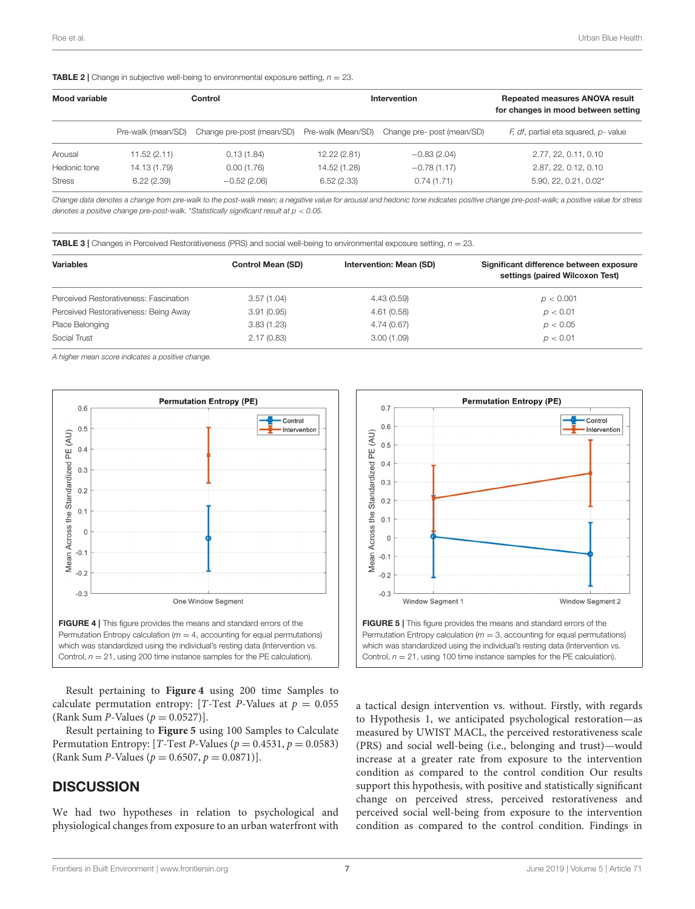<span id="page-6-0"></span>**TABLE 2** | Change in subjective well-being to environmental exposure setting,  $n = 23$ .

| Mood variable | Control            |                           | Intervention       |                            | <b>Repeated measures ANOVA result</b><br>for changes in mood between setting |  |
|---------------|--------------------|---------------------------|--------------------|----------------------------|------------------------------------------------------------------------------|--|
|               | Pre-walk (mean/SD) | Change pre-post (mean/SD) | Pre-walk (Mean/SD) | Change pre- post (mean/SD) | F, df, partial eta squared, p- value                                         |  |
| Arousal       | 11.52(2.11)        | 0.13(1.84)                | 12.22 (2.81)       | $-0.83(2.04)$              | 2.77, 22, 0.11, 0.10                                                         |  |
| Hedonic tone  | 14.13 (1.79)       | 0.00(1.76)                | 14.52 (1.28)       | $-0.78(1.17)$              | 2.87, 22, 0.12, 0.10                                                         |  |
| <b>Stress</b> | 6.22(2.39)         | $-0.52(2.06)$             | 6.52(2.33)         | 0.74(1.71)                 | 5.90, 22, 0.21, 0.02*                                                        |  |

*Change data denotes a change from pre-walk to the post-walk mean; a negative value for arousal and hedonic tone indicates positive change pre-post-walk; a positive value for stress denotes a positive change pre-post-walk.* \**Statistically significant result at p* < *0.05.*

<span id="page-6-1"></span>TABLE 3 | Changes in Perceived Restorativeness (PRS) and social well-being to environmental exposure setting, *n* = 23.

| <b>Control Mean (SD)</b> | Intervention: Mean (SD) | Significant difference between exposure<br>settings (paired Wilcoxon Test) |
|--------------------------|-------------------------|----------------------------------------------------------------------------|
| 3.57(1.04)               | 4.43(0.59)              | p < 0.001                                                                  |
| 3.91(0.95)               | 4.61(0.58)              | p < 0.01                                                                   |
| 3.83(1.23)               | 4.74(0.67)              | p < 0.05                                                                   |
| 2.17(0.83)               | 3.00(1.09)              | p < 0.01                                                                   |
|                          |                         |                                                                            |

*A higher mean score indicates a positive change.*



<span id="page-6-2"></span>Result pertaining to **[Figure 4](#page-6-2)** using 200 time Samples to calculate permutation entropy: [T-Test P-Values at  $p = 0.055$ (Rank Sum  $P$ -Values ( $p = 0.0527$ )].

Result pertaining to **[Figure 5](#page-6-3)** using 100 Samples to Calculate Permutation Entropy: [T-Test P-Values ( $p = 0.4531$ ,  $p = 0.0583$ ) (Rank Sum *P*-Values ( $p = 0.6507$ ,  $p = 0.0871$ ).

### **DISCUSSION**

We had two hypotheses in relation to psychological and physiological changes from exposure to an urban waterfront with



<span id="page-6-3"></span>a tactical design intervention vs. without. Firstly, with regards to Hypothesis 1, we anticipated psychological restoration—as measured by UWIST MACL, the perceived restorativeness scale (PRS) and social well-being (i.e., belonging and trust)—would increase at a greater rate from exposure to the intervention condition as compared to the control condition Our results support this hypothesis, with positive and statistically significant change on perceived stress, perceived restorativeness and perceived social well-being from exposure to the intervention condition as compared to the control condition. Findings in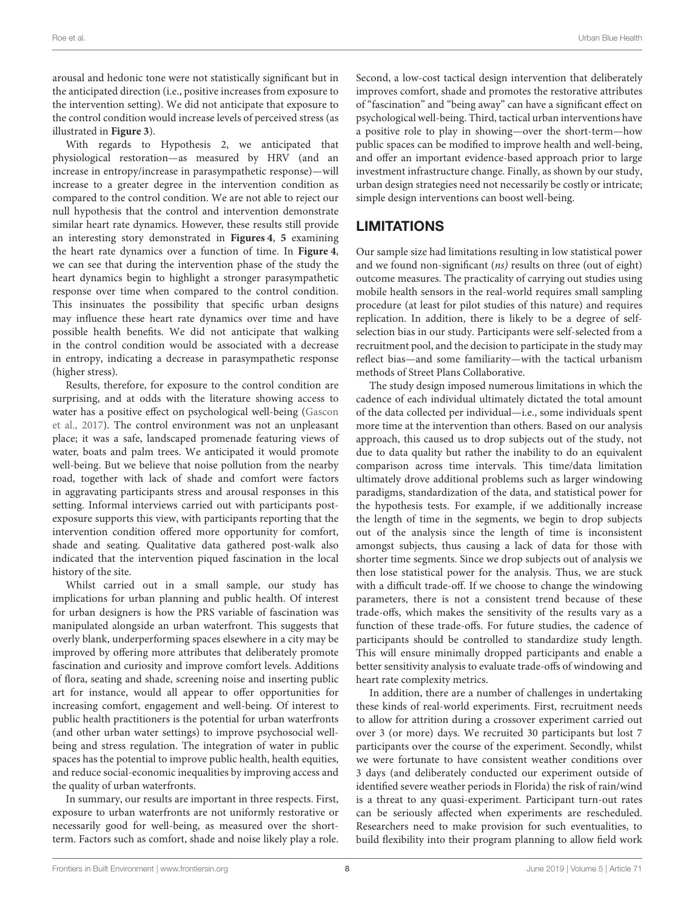arousal and hedonic tone were not statistically significant but in the anticipated direction (i.e., positive increases from exposure to the intervention setting). We did not anticipate that exposure to the control condition would increase levels of perceived stress (as illustrated in **[Figure 3](#page-5-1)**).

With regards to Hypothesis 2, we anticipated that physiological restoration—as measured by HRV (and an increase in entropy/increase in parasympathetic response)—will increase to a greater degree in the intervention condition as compared to the control condition. We are not able to reject our null hypothesis that the control and intervention demonstrate similar heart rate dynamics. However, these results still provide an interesting story demonstrated in **[Figures 4](#page-6-2)**, **[5](#page-6-3)** examining the heart rate dynamics over a function of time. In **[Figure 4](#page-6-2)**, we can see that during the intervention phase of the study the heart dynamics begin to highlight a stronger parasympathetic response over time when compared to the control condition. This insinuates the possibility that specific urban designs may influence these heart rate dynamics over time and have possible health benefits. We did not anticipate that walking in the control condition would be associated with a decrease in entropy, indicating a decrease in parasympathetic response (higher stress).

Results, therefore, for exposure to the control condition are surprising, and at odds with the literature showing access to water has a positive effect on psychological well-being (Gascon et al., [2017\)](#page-9-2). The control environment was not an unpleasant place; it was a safe, landscaped promenade featuring views of water, boats and palm trees. We anticipated it would promote well-being. But we believe that noise pollution from the nearby road, together with lack of shade and comfort were factors in aggravating participants stress and arousal responses in this setting. Informal interviews carried out with participants postexposure supports this view, with participants reporting that the intervention condition offered more opportunity for comfort, shade and seating. Qualitative data gathered post-walk also indicated that the intervention piqued fascination in the local history of the site.

Whilst carried out in a small sample, our study has implications for urban planning and public health. Of interest for urban designers is how the PRS variable of fascination was manipulated alongside an urban waterfront. This suggests that overly blank, underperforming spaces elsewhere in a city may be improved by offering more attributes that deliberately promote fascination and curiosity and improve comfort levels. Additions of flora, seating and shade, screening noise and inserting public art for instance, would all appear to offer opportunities for increasing comfort, engagement and well-being. Of interest to public health practitioners is the potential for urban waterfronts (and other urban water settings) to improve psychosocial wellbeing and stress regulation. The integration of water in public spaces has the potential to improve public health, health equities, and reduce social-economic inequalities by improving access and the quality of urban waterfronts.

In summary, our results are important in three respects. First, exposure to urban waterfronts are not uniformly restorative or necessarily good for well-being, as measured over the shortterm. Factors such as comfort, shade and noise likely play a role. Second, a low-cost tactical design intervention that deliberately improves comfort, shade and promotes the restorative attributes of "fascination" and "being away" can have a significant effect on psychological well-being. Third, tactical urban interventions have a positive role to play in showing—over the short-term—how public spaces can be modified to improve health and well-being, and offer an important evidence-based approach prior to large investment infrastructure change. Finally, as shown by our study, urban design strategies need not necessarily be costly or intricate; simple design interventions can boost well-being.

# **LIMITATIONS**

Our sample size had limitations resulting in low statistical power and we found non-significant (ns) results on three (out of eight) outcome measures. The practicality of carrying out studies using mobile health sensors in the real-world requires small sampling procedure (at least for pilot studies of this nature) and requires replication. In addition, there is likely to be a degree of selfselection bias in our study. Participants were self-selected from a recruitment pool, and the decision to participate in the study may reflect bias—and some familiarity—with the tactical urbanism methods of Street Plans Collaborative.

The study design imposed numerous limitations in which the cadence of each individual ultimately dictated the total amount of the data collected per individual—i.e., some individuals spent more time at the intervention than others. Based on our analysis approach, this caused us to drop subjects out of the study, not due to data quality but rather the inability to do an equivalent comparison across time intervals. This time/data limitation ultimately drove additional problems such as larger windowing paradigms, standardization of the data, and statistical power for the hypothesis tests. For example, if we additionally increase the length of time in the segments, we begin to drop subjects out of the analysis since the length of time is inconsistent amongst subjects, thus causing a lack of data for those with shorter time segments. Since we drop subjects out of analysis we then lose statistical power for the analysis. Thus, we are stuck with a difficult trade-off. If we choose to change the windowing parameters, there is not a consistent trend because of these trade-offs, which makes the sensitivity of the results vary as a function of these trade-offs. For future studies, the cadence of participants should be controlled to standardize study length. This will ensure minimally dropped participants and enable a better sensitivity analysis to evaluate trade-offs of windowing and heart rate complexity metrics.

In addition, there are a number of challenges in undertaking these kinds of real-world experiments. First, recruitment needs to allow for attrition during a crossover experiment carried out over 3 (or more) days. We recruited 30 participants but lost 7 participants over the course of the experiment. Secondly, whilst we were fortunate to have consistent weather conditions over 3 days (and deliberately conducted our experiment outside of identified severe weather periods in Florida) the risk of rain/wind is a threat to any quasi-experiment. Participant turn-out rates can be seriously affected when experiments are rescheduled. Researchers need to make provision for such eventualities, to build flexibility into their program planning to allow field work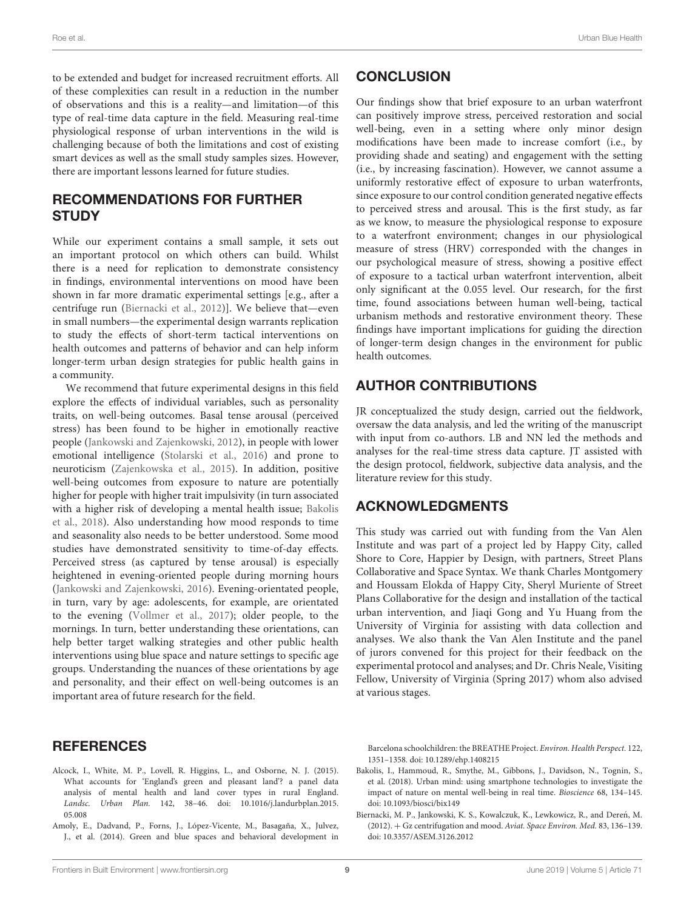to be extended and budget for increased recruitment efforts. All of these complexities can result in a reduction in the number of observations and this is a reality—and limitation—of this type of real-time data capture in the field. Measuring real-time physiological response of urban interventions in the wild is challenging because of both the limitations and cost of existing smart devices as well as the small study samples sizes. However, there are important lessons learned for future studies.

### RECOMMENDATIONS FOR FURTHER **STUDY**

While our experiment contains a small sample, it sets out an important protocol on which others can build. Whilst there is a need for replication to demonstrate consistency in findings, environmental interventions on mood have been shown in far more dramatic experimental settings [e.g., after a centrifuge run [\(Biernacki et al., 2012\)](#page-8-2)]. We believe that—even in small numbers—the experimental design warrants replication to study the effects of short-term tactical interventions on health outcomes and patterns of behavior and can help inform longer-term urban design strategies for public health gains in a community.

We recommend that future experimental designs in this field explore the effects of individual variables, such as personality traits, on well-being outcomes. Basal tense arousal (perceived stress) has been found to be higher in emotionally reactive people [\(Jankowski and Zajenkowski, 2012\)](#page-9-23), in people with lower emotional intelligence [\(Stolarski et al., 2016\)](#page-9-24) and prone to neuroticism [\(Zajenkowska et al., 2015\)](#page-9-25). In addition, positive well-being outcomes from exposure to nature are potentially higher for people with higher trait impulsivity (in turn associated with a higher risk of developing a mental health issue; Bakolis et al., [2018\)](#page-8-3). Also understanding how mood responds to time and seasonality also needs to be better understood. Some mood studies have demonstrated sensitivity to time-of-day effects. Perceived stress (as captured by tense arousal) is especially heightened in evening-oriented people during morning hours [\(Jankowski and Zajenkowski, 2016\)](#page-9-26). Evening-orientated people, in turn, vary by age: adolescents, for example, are orientated to the evening [\(Vollmer et al., 2017\)](#page-9-27); older people, to the mornings. In turn, better understanding these orientations, can help better target walking strategies and other public health interventions using blue space and nature settings to specific age groups. Understanding the nuances of these orientations by age and personality, and their effect on well-being outcomes is an important area of future research for the field.

# **CONCLUSION**

Our findings show that brief exposure to an urban waterfront can positively improve stress, perceived restoration and social well-being, even in a setting where only minor design modifications have been made to increase comfort (i.e., by providing shade and seating) and engagement with the setting (i.e., by increasing fascination). However, we cannot assume a uniformly restorative effect of exposure to urban waterfronts, since exposure to our control condition generated negative effects to perceived stress and arousal. This is the first study, as far as we know, to measure the physiological response to exposure to a waterfront environment; changes in our physiological measure of stress (HRV) corresponded with the changes in our psychological measure of stress, showing a positive effect of exposure to a tactical urban waterfront intervention, albeit only significant at the 0.055 level. Our research, for the first time, found associations between human well-being, tactical urbanism methods and restorative environment theory. These findings have important implications for guiding the direction of longer-term design changes in the environment for public health outcomes.

# AUTHOR CONTRIBUTIONS

JR conceptualized the study design, carried out the fieldwork, oversaw the data analysis, and led the writing of the manuscript with input from co-authors. LB and NN led the methods and analyses for the real-time stress data capture. JT assisted with the design protocol, fieldwork, subjective data analysis, and the literature review for this study.

# ACKNOWLEDGMENTS

This study was carried out with funding from the Van Alen Institute and was part of a project led by Happy City, called Shore to Core, Happier by Design, with partners, Street Plans Collaborative and Space Syntax. We thank Charles Montgomery and Houssam Elokda of Happy City, Sheryl Muriente of Street Plans Collaborative for the design and installation of the tactical urban intervention, and Jiaqi Gong and Yu Huang from the University of Virginia for assisting with data collection and analyses. We also thank the Van Alen Institute and the panel of jurors convened for this project for their feedback on the experimental protocol and analyses; and Dr. Chris Neale, Visiting Fellow, University of Virginia (Spring 2017) whom also advised at various stages.

# REFERENCES

- <span id="page-8-1"></span>Alcock, I., White, M. P., Lovell, R. Higgins, L., and Osborne, N. J. (2015). What accounts for 'England's green and pleasant land'? a panel data analysis of mental health and land cover types in rural England. Landsc. Urban Plan. [142, 38–46. doi: 10.1016/j.landurbplan.2015.](https://doi.org/10.1016/j.landurbplan.2015.05.008) 05.008
- <span id="page-8-0"></span>Amoly, E., Dadvand, P., Forns, J., López-Vicente, M., Basagaña, X., Julvez, J., et al. (2014). Green and blue spaces and behavioral development in

Barcelona schoolchildren: the BREATHE Project. Environ. Health Perspect. 122, 1351–1358. doi: [10.1289/ehp.1408215](https://doi.org/10.1289/ehp.1408215)

- <span id="page-8-3"></span>Bakolis, I., Hammoud, R., Smythe, M., Gibbons, J., Davidson, N., Tognin, S., et al. (2018). Urban mind: using smartphone technologies to investigate the impact of nature on mental well-being in real time. Bioscience 68, 134–145. doi: [10.1093/biosci/bix149](https://doi.org/10.1093/biosci/bix149)
- <span id="page-8-2"></span>Biernacki, M. P., Jankowski, K. S., Kowalczuk, K., Lewkowicz, R., and Dereń, M. (2012). + Gz centrifugation and mood. Aviat. Space Environ. Med. 83, 136–139. doi: [10.3357/ASEM.3126.2012](https://doi.org/10.3357/ASEM.3126.2012)